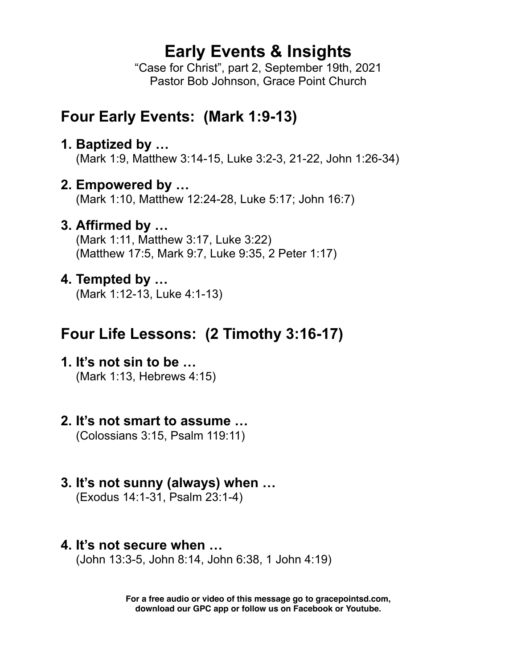# **Early Events & Insights**

"Case for Christ", part 2, September 19th, 2021 Pastor Bob Johnson, Grace Point Church

## **Four Early Events: (Mark 1:9-13)**

**1. Baptized by …**

(Mark 1:9, Matthew 3:14-15, Luke 3:2-3, 21-22, John 1:26-34)

**2. Empowered by …**

(Mark 1:10, Matthew 12:24-28, Luke 5:17; John 16:7)

**3. Affirmed by …**

(Mark 1:11, Matthew 3:17, Luke 3:22) (Matthew 17:5, Mark 9:7, Luke 9:35, 2 Peter 1:17)

#### **4. Tempted by …**

(Mark 1:12-13, Luke 4:1-13)

# **Four Life Lessons: (2 Timothy 3:16-17)**

**1. It's not sin to be …** 

(Mark 1:13, Hebrews 4:15)

# **2. It's not smart to assume …**

(Colossians 3:15, Psalm 119:11)

# **3. It's not sunny (always) when …**

(Exodus 14:1-31, Psalm 23:1-4)

#### **4. It's not secure when …**

(John 13:3-5, John 8:14, John 6:38, 1 John 4:19)

**For a free audio or video of this message go to gracepointsd.com, download our GPC app or follow us on Facebook or Youtube.**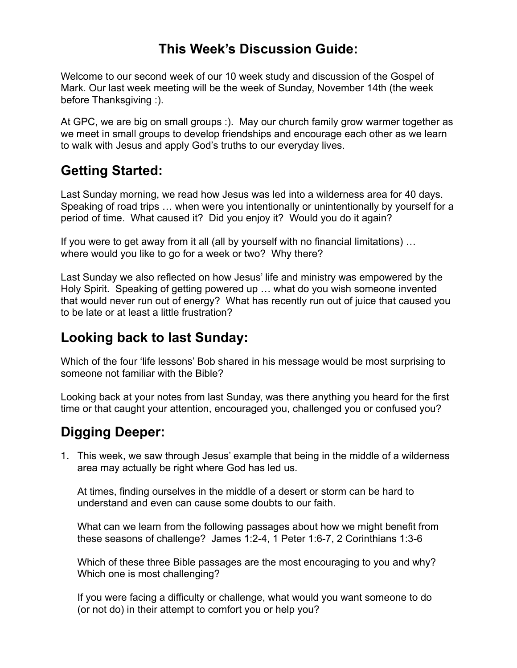## **This Week's Discussion Guide:**

Welcome to our second week of our 10 week study and discussion of the Gospel of Mark. Our last week meeting will be the week of Sunday, November 14th (the week before Thanksgiving :).

At GPC, we are big on small groups :). May our church family grow warmer together as we meet in small groups to develop friendships and encourage each other as we learn to walk with Jesus and apply God's truths to our everyday lives.

## **Getting Started:**

Last Sunday morning, we read how Jesus was led into a wilderness area for 40 days. Speaking of road trips … when were you intentionally or unintentionally by yourself for a period of time. What caused it? Did you enjoy it? Would you do it again?

If you were to get away from it all (all by yourself with no financial limitations) … where would you like to go for a week or two? Why there?

Last Sunday we also reflected on how Jesus' life and ministry was empowered by the Holy Spirit. Speaking of getting powered up … what do you wish someone invented that would never run out of energy? What has recently run out of juice that caused you to be late or at least a little frustration?

## **Looking back to last Sunday:**

Which of the four 'life lessons' Bob shared in his message would be most surprising to someone not familiar with the Bible?

Looking back at your notes from last Sunday, was there anything you heard for the first time or that caught your attention, encouraged you, challenged you or confused you?

## **Digging Deeper:**

1. This week, we saw through Jesus' example that being in the middle of a wilderness area may actually be right where God has led us.

At times, finding ourselves in the middle of a desert or storm can be hard to understand and even can cause some doubts to our faith.

What can we learn from the following passages about how we might benefit from these seasons of challenge? James 1:2-4, 1 Peter 1:6-7, 2 Corinthians 1:3-6

Which of these three Bible passages are the most encouraging to you and why? Which one is most challenging?

If you were facing a difficulty or challenge, what would you want someone to do (or not do) in their attempt to comfort you or help you?